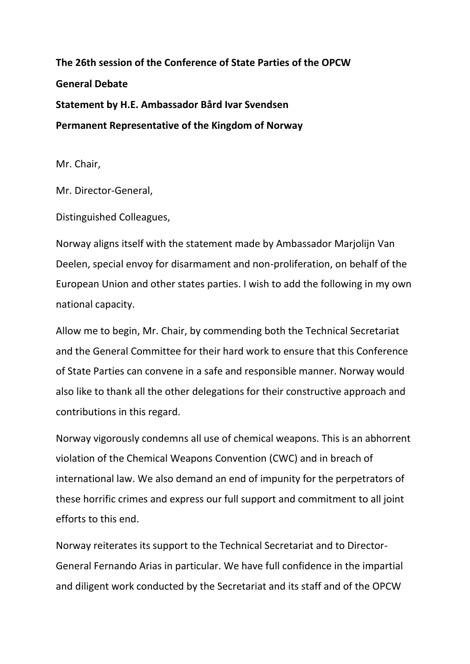**The 26th session of the Conference of State Parties of the OPCW General Debate Statement by H.E. Ambassador Bård Ivar Svendsen Permanent Representative of the Kingdom of Norway** 

Mr. Chair,

Mr. Director-General,

Distinguished Colleagues,

Norway aligns itself with the statement made by Ambassador Marjolijn Van Deelen, special envoy for disarmament and non-proliferation, on behalf of the European Union and other states parties. I wish to add the following in my own national capacity.

Allow me to begin, Mr. Chair, by commending both the Technical Secretariat and the General Committee for their hard work to ensure that this Conference of State Parties can convene in a safe and responsible manner. Norway would also like to thank all the other delegations for their constructive approach and contributions in this regard.

Norway vigorously condemns all use of chemical weapons. This is an abhorrent violation of the Chemical Weapons Convention (CWC) and in breach of international law. We also demand an end of impunity for the perpetrators of these horrific crimes and express our full support and commitment to all joint efforts to this end.

Norway reiterates its support to the Technical Secretariat and to Director-General Fernando Arias in particular. We have full confidence in the impartial and diligent work conducted by the Secretariat and its staff and of the OPCW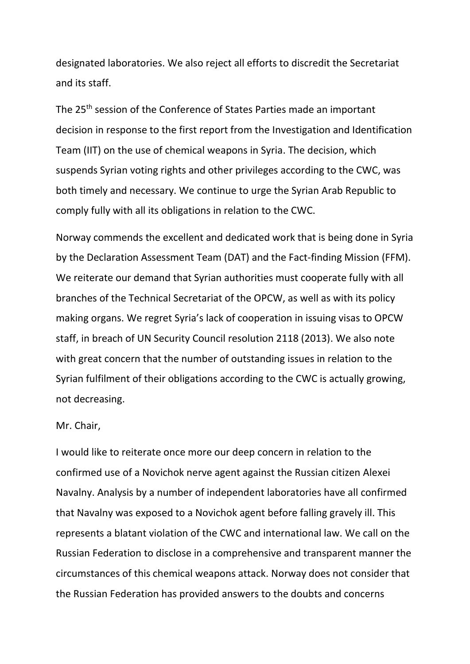designated laboratories. We also reject all efforts to discredit the Secretariat and its staff.

The 25<sup>th</sup> session of the Conference of States Parties made an important decision in response to the first report from the Investigation and Identification Team (IIT) on the use of chemical weapons in Syria. The decision, which suspends Syrian voting rights and other privileges according to the CWC, was both timely and necessary. We continue to urge the Syrian Arab Republic to comply fully with all its obligations in relation to the CWC.

Norway commends the excellent and dedicated work that is being done in Syria by the Declaration Assessment Team (DAT) and the Fact-finding Mission (FFM). We reiterate our demand that Syrian authorities must cooperate fully with all branches of the Technical Secretariat of the OPCW, as well as with its policy making organs. We regret Syria's lack of cooperation in issuing visas to OPCW staff, in breach of UN Security Council resolution 2118 (2013). We also note with great concern that the number of outstanding issues in relation to the Syrian fulfilment of their obligations according to the CWC is actually growing, not decreasing.

## Mr. Chair,

I would like to reiterate once more our deep concern in relation to the confirmed use of a Novichok nerve agent against the Russian citizen Alexei Navalny. Analysis by a number of independent laboratories have all confirmed that Navalny was exposed to a Novichok agent before falling gravely ill. This represents a blatant violation of the CWC and international law. We call on the Russian Federation to disclose in a comprehensive and transparent manner the circumstances of this chemical weapons attack. Norway does not consider that the Russian Federation has provided answers to the doubts and concerns